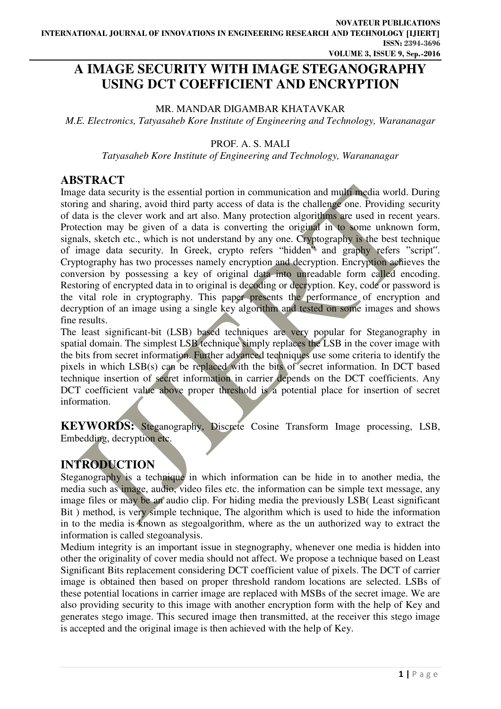# **A IMAGE SECURITY WITH IMAGE STEGANOGRAPHY USING DCT COEFFICIENT AND ENCRYPTION**

#### MR. MANDAR DIGAMBAR KHATAVKAR

*M.E. Electronics, Tatyasaheb Kore Institute of Engineering and Technology, Warananagar* 

#### PROF. A. S. MALI

*Tatyasaheb Kore Institute of Engineering and Technology, Warananagar* 

### **ABSTRACT**

Image data security is the essential portion in communication and multi media world. During storing and sharing, avoid third party access of data is the challenge one. Providing security of data is the clever work and art also. Many protection algorithms are used in recent years. Protection may be given of a data is converting the original in to some unknown form, signals, sketch etc., which is not understand by any one. Cryptography is the best technique of image data security. In Greek, crypto refers "hidden" and graphy refers "script". Cryptography has two processes namely encryption and decryption. Encryption achieves the conversion by possessing a key of original data into unreadable form called encoding. Restoring of encrypted data in to original is decoding or decryption. Key, code or password is the vital role in cryptography. This paper presents the performance of encryption and decryption of an image using a single key algorithm and tested on some images and shows fine results.

The least significant-bit (LSB) based techniques are very popular for Steganography in spatial domain. The simplest LSB technique simply replaces the LSB in the cover image with the bits from secret information. Further advanced techniques use some criteria to identify the pixels in which LSB(s) can be replaced with the bits of secret information. In DCT based technique insertion of secret information in carrier depends on the DCT coefficients. Any DCT coefficient value above proper threshold is a potential place for insertion of secret information.

**KEYWORDS:** Steganography, Discrete Cosine Transform Image processing, LSB, Embedding, decryption etc.

## **INTRODUCTION**

Steganography is a technique in which information can be hide in to another media, the media such as image, audio, video files etc. the information can be simple text message, any image files or may be an audio clip. For hiding media the previously LSB( Least significant Bit) method, is very simple technique. The algorithm which is used to hide the information in to the media is known as stegoalgorithm, where as the un authorized way to extract the information is called stegoanalysis.

Medium integrity is an important issue in stegnography, whenever one media is hidden into other the originality of cover media should not affect. We propose a technique based on Least Significant Bits replacement considering DCT coefficient value of pixels. The DCT of carrier image is obtained then based on proper threshold random locations are selected. LSBs of these potential locations in carrier image are replaced with MSBs of the secret image. We are also providing security to this image with another encryption form with the help of Key and generates stego image. This secured image then transmitted, at the receiver this stego image is accepted and the original image is then achieved with the help of Key.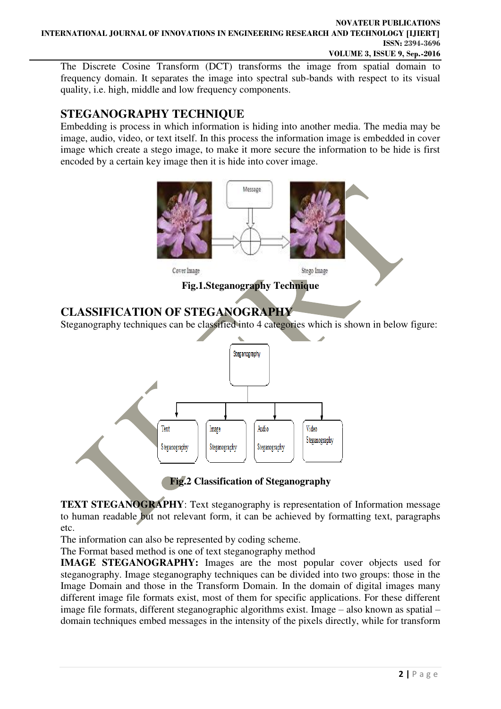The Discrete Cosine Transform (DCT) transforms the image from spatial domain to frequency domain. It separates the image into spectral sub-bands with respect to its visual quality, i.e. high, middle and low frequency components.

## **STEGANOGRAPHY TECHNIQUE**

Embedding is process in which information is hiding into another media. The media may be image, audio, video, or text itself. In this process the information image is embedded in cover image which create a stego image, to make it more secure the information to be hide is first encoded by a certain key image then it is hide into cover image.



**Fig.2 Classification of Steganography** 

**TEXT STEGANOGRAPHY**: Text steganography is representation of Information message to human readable but not relevant form, it can be achieved by formatting text, paragraphs etc.

The information can also be represented by coding scheme.

The Format based method is one of text steganography method

**IMAGE STEGANOGRAPHY:** Images are the most popular cover objects used for steganography. Image steganography techniques can be divided into two groups: those in the Image Domain and those in the Transform Domain. In the domain of digital images many different image file formats exist, most of them for specific applications. For these different image file formats, different steganographic algorithms exist. Image – also known as spatial – domain techniques embed messages in the intensity of the pixels directly, while for transform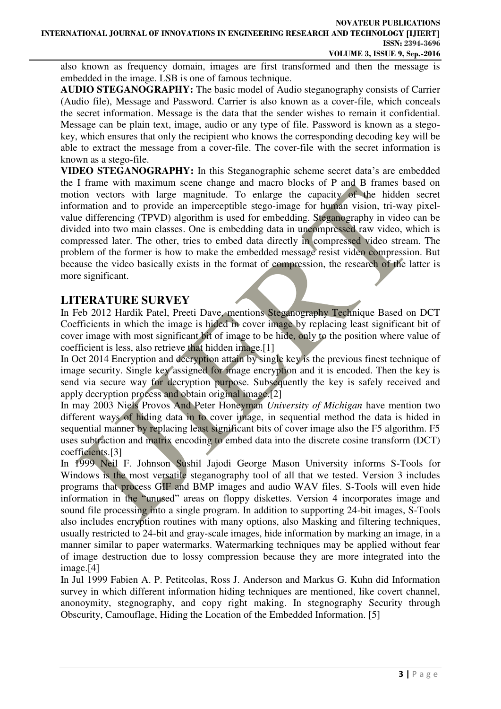also known as frequency domain, images are first transformed and then the message is embedded in the image. LSB is one of famous technique.

**AUDIO STEGANOGRAPHY:** The basic model of Audio steganography consists of Carrier (Audio file), Message and Password. Carrier is also known as a cover-file, which conceals the secret information. Message is the data that the sender wishes to remain it confidential. Message can be plain text, image, audio or any type of file. Password is known as a stegokey, which ensures that only the recipient who knows the corresponding decoding key will be able to extract the message from a cover-file. The cover-file with the secret information is known as a stego-file.

**VIDEO STEGANOGRAPHY:** In this Steganographic scheme secret data's are embedded the I frame with maximum scene change and macro blocks of P and B frames based on motion vectors with large magnitude. To enlarge the capacity of the hidden secret information and to provide an imperceptible stego-image for human vision, tri-way pixelvalue differencing (TPVD) algorithm is used for embedding. Steganography in video can be divided into two main classes. One is embedding data in uncompressed raw video, which is compressed later. The other, tries to embed data directly in compressed video stream. The problem of the former is how to make the embedded message resist video compression. But because the video basically exists in the format of compression, the research of the latter is more significant.

### **LITERATURE SURVEY**

In Feb 2012 Hardik Patel, Preeti Dave, mentions Steganography Technique Based on DCT Coefficients in which the image is hided in cover image by replacing least significant bit of cover image with most significant bit of image to be hide, only to the position where value of coefficient is less, also retrieve that hidden image.[1]

In Oct 2014 Encryption and decryption attain by single key is the previous finest technique of image security. Single key assigned for image encryption and it is encoded. Then the key is send via secure way for decryption purpose. Subsequently the key is safely received and apply decryption process and obtain original image.[2]

In may 2003 Niels Provos And Peter Honeyman *University of Michigan* have mention two different ways of hiding data in to cover image, in sequential method the data is hided in sequential manner by replacing least significant bits of cover image also the F5 algorithm. F5 uses subtraction and matrix encoding to embed data into the discrete cosine transform (DCT) coefficients.[3]

In 1999 Neil F. Johnson Sushil Jajodi George Mason University informs S-Tools for Windows is the most versatile steganography tool of all that we tested. Version 3 includes programs that process GIF and BMP images and audio WAV files. S-Tools will even hide information in the "unused" areas on floppy diskettes. Version 4 incorporates image and sound file processing into a single program. In addition to supporting 24-bit images, S-Tools also includes encryption routines with many options, also Masking and filtering techniques, usually restricted to 24-bit and gray-scale images, hide information by marking an image, in a manner similar to paper watermarks. Watermarking techniques may be applied without fear of image destruction due to lossy compression because they are more integrated into the image.[4]

In Jul 1999 Fabien A. P. Petitcolas, Ross J. Anderson and Markus G. Kuhn did Information survey in which different information hiding techniques are mentioned, like covert channel, anonoymity, stegnography, and copy right making. In stegnography Security through Obscurity, Camouflage, Hiding the Location of the Embedded Information. [5]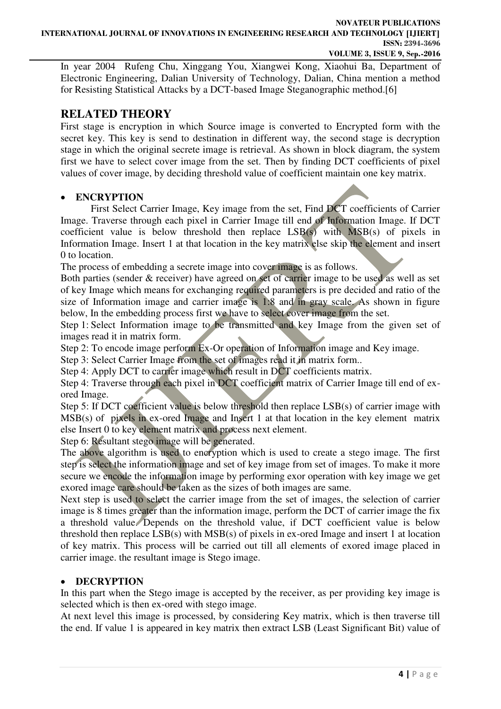In year 2004 Rufeng Chu, Xinggang You, Xiangwei Kong, Xiaohui Ba, Department of Electronic Engineering, Dalian University of Technology, Dalian, China mention a method for Resisting Statistical Attacks by a DCT-based Image Steganographic method.[6]

### **RELATED THEORY**

First stage is encryption in which Source image is converted to Encrypted form with the secret key. This key is send to destination in different way, the second stage is decryption stage in which the original secrete image is retrieval. As shown in block diagram, the system first we have to select cover image from the set. Then by finding DCT coefficients of pixel values of cover image, by deciding threshold value of coefficient maintain one key matrix.

#### **ENCRYPTION**

First Select Carrier Image, Key image from the set, Find DCT coefficients of Carrier Image. Traverse through each pixel in Carrier Image till end of Information Image. If DCT coefficient value is below threshold then replace LSB(s) with MSB(s) of pixels in Information Image. Insert 1 at that location in the key matrix else skip the element and insert 0 to location.

The process of embedding a secrete image into cover image is as follows.

Both parties (sender & receiver) have agreed on set of carrier image to be used as well as set of key Image which means for exchanging required parameters is pre decided and ratio of the size of Information image and carrier image is 1:8 and in gray scale. As shown in figure below, In the embedding process first we have to select cover image from the set.

Step 1: Select Information image to be transmitted and key Image from the given set of images read it in matrix form.

Step 2: To encode image perform Ex-Or operation of Information image and Key image.

Step 3: Select Carrier Image from the set of images read it in matrix form..

Step 4: Apply DCT to carrier image which result in DCT coefficients matrix.

Step 4: Traverse through each pixel in DCT coefficient matrix of Carrier Image till end of exored Image.

Step 5: If DCT coefficient value is below threshold then replace LSB(s) of carrier image with MSB(s) of pixels in ex-ored Image and Insert 1 at that location in the key element matrix else Insert 0 to key element matrix and process next element.

Step 6: Resultant stego image will be generated.

The above algorithm is used to encryption which is used to create a stego image. The first step is select the information image and set of key image from set of images. To make it more secure we encode the information image by performing exor operation with key image we get exored image care should be taken as the sizes of both images are same.

Next step is used to select the carrier image from the set of images, the selection of carrier image is 8 times greater than the information image, perform the DCT of carrier image the fix a threshold value. Depends on the threshold value, if DCT coefficient value is below threshold then replace LSB(s) with MSB(s) of pixels in ex-ored Image and insert 1 at location of key matrix. This process will be carried out till all elements of exored image placed in carrier image. the resultant image is Stego image.

### **DECRYPTION**

In this part when the Stego image is accepted by the receiver, as per providing key image is selected which is then ex-ored with stego image.

At next level this image is processed, by considering Key matrix, which is then traverse till the end. If value 1 is appeared in key matrix then extract LSB (Least Significant Bit) value of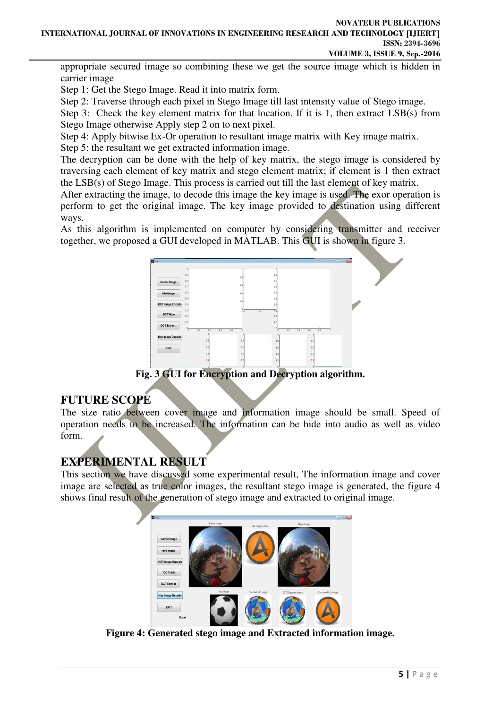appropriate secured image so combining these we get the source image which is hidden in carrier image

Step 1: Get the Stego Image. Read it into matrix form.

Step 2: Traverse through each pixel in Stego Image till last intensity value of Stego image.

Step 3: Check the key element matrix for that location. If it is 1, then extract LSB(s) from Stego Image otherwise Apply step 2 on to next pixel.

Step 4: Apply bitwise Ex-Or operation to resultant image matrix with Key image matrix.

Step 5: the resultant we get extracted information image.

The decryption can be done with the help of key matrix, the stego image is considered by traversing each element of key matrix and stego element matrix; if element is 1 then extract the LSB(s) of Stego Image. This process is carried out till the last element of key matrix.

After extracting the image, to decode this image the key image is used. The exor operation is perform to get the original image. The key image provided to destination using different ways.

As this algorithm is implemented on computer by considering transmitter and receiver together, we proposed a GUI developed in MATLAB. This GUI is shown in figure 3.



**Fig. 3 GUI for Encryption and Decryption algorithm.** 

### **FUTURE SCOPE**

The size ratio between cover image and information image should be small. Speed of operation needs to be increased. The information can be hide into audio as well as video form.

### **EXPERIMENTAL RESULT**

This section we have discussed some experimental result, The information image and cover image are selected as true color images, the resultant stego image is generated, the figure 4 shows final result of the generation of stego image and extracted to original image.



**Figure 4: Generated stego image and Extracted information image.**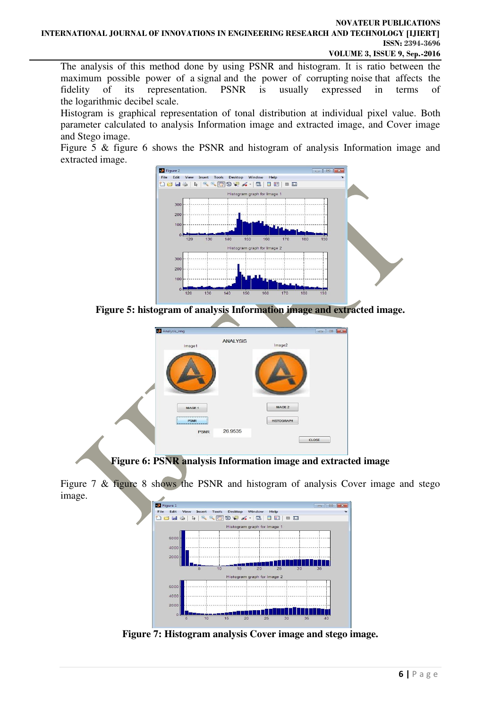#### **NOVATEUR PUBLICATIONS INTERNATIONAL JOURNAL OF INNOVATIONS IN ENGINEERING RESEARCH AND TECHNOLOGY [IJIERT] ISSN: 2394-3696 VOLUME 3, ISSUE 9, Sep.-2016**

The analysis of this method done by using PSNR and histogram. It is ratio between the maximum possible power of a signal and the power of corrupting noise that affects the fidelity of its representation. PSNR is usually expressed in terms of the logarithmic decibel scale.

Histogram is graphical representation of tonal distribution at individual pixel value. Both parameter calculated to analysis Information image and extracted image, and Cover image and Stego image.

Figure 5 & figure 6 shows the PSNR and histogram of analysis Information image and extracted image.



**Figure 5: histogram of analysis Information image and extracted image.** 



**Figure 6: PSNR analysis Information image and extracted image** 

Figure 7 & figure 8 shows the PSNR and histogram of analysis Cover image and stego image.



**Figure 7: Histogram analysis Cover image and stego image.**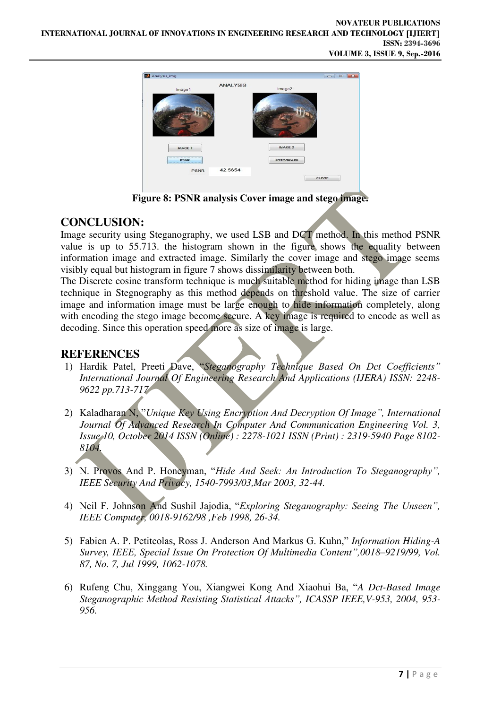

**Figure 8: PSNR analysis Cover image and stego image.** 

### **CONCLUSION:**

Image security using Steganography, we used LSB and DCT method. In this method PSNR value is up to 55.713. the histogram shown in the figure shows the equality between information image and extracted image. Similarly the cover image and stego image seems visibly equal but histogram in figure 7 shows dissimilarity between both.

The Discrete cosine transform technique is much suitable method for hiding image than LSB technique in Stegnography as this method depends on threshold value. The size of carrier image and information image must be large enough to hide information completely, along with encoding the stego image become secure. A key image is required to encode as well as decoding. Since this operation speed more as size of image is large.

### **REFERENCES**

- 1) Hardik Patel, Preeti Dave, "*Steganography Technique Based On Dct Coefficients" International Journal Of Engineering Research And Applications (IJERA) ISSN: 2248- 9622 pp.713-717*
- 2) Kaladharan N, "*Unique Key Using Encryption And Decryption Of Image", International Journal Of Advanced Research In Computer And Communication Engineering Vol. 3, Issue 10, October 2014 ISSN (Online) : 2278-1021 ISSN (Print) : 2319-5940 Page 8102- 8104.*
- 3) N. Provos And P. Honeyman, "*Hide And Seek: An Introduction To Steganography", IEEE Security And Privacy, 1540-7993/03,Mar 2003, 32-44.*
- 4) Neil F. Johnson And Sushil Jajodia, "*Exploring Steganography: Seeing The Unseen", IEEE Computer, 0018-9162/98 ,Feb 1998, 26-34.*
- 5) Fabien A. P. Petitcolas, Ross J. Anderson And Markus G. Kuhn," *Information Hiding-A Survey, IEEE, Special Issue On Protection Of Multimedia Content",0018–9219/99, Vol. 87, No. 7, Jul 1999, 1062-1078.*
- 6) Rufeng Chu, Xinggang You, Xiangwei Kong And Xiaohui Ba, "*A Dct-Based Image Steganographic Method Resisting Statistical Attacks", ICASSP IEEE,V-953, 2004, 953- 956.*